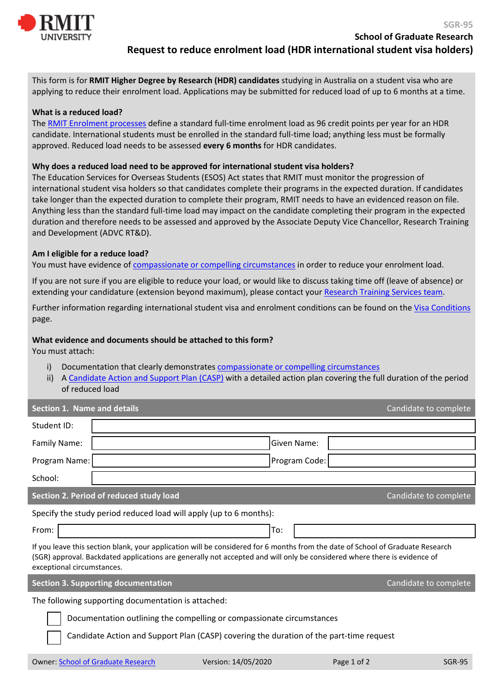

This form is for **RMIT Higher Degree by Research (HDR) candidates** studying in Australia on a student visa who are applying to reduce their enrolment load. Applications may be submitted for reduced load of up to 6 months at a time.

## **What is a reduced load?**

The [RMIT Enrolment processes](https://www.rmit.edu.au/about/governance-and-management/policies/enrolment-policy) define a standard full-time enrolment load as 96 credit points per year for an HDR candidate. International students must be enrolled in the standard full-time load; anything less must be formally approved. Reduced load needs to be assessed **every 6 months** for HDR candidates.

## **Why does a reduced load need to be approved for international student visa holders?**

The Education Services for Overseas Students (ESOS) Act states that RMIT must monitor the progression of international student visa holders so that candidates complete their programs in the expected duration. If candidates take longer than the expected duration to complete their program, RMIT needs to have an evidenced reason on file. Anything less than the standard full-time load may impact on the candidate completing their program in the expected duration and therefore needs to be assessed and approved by the Associate Deputy Vice Chancellor, Research Training and Development (ADVC RT&D).

## **Am I eligible for a reduce load?**

You must have evidence of [compassionate or compelling circumstances](https://www.rmit.edu.au/students/student-essentials/information-for/international-students/compassionate-or-compelling-circumstances) in order to reduce your enrolment load.

If you are not sure if you are eligible to reduce your load, or would like to discuss taking time off (leave of absence) or extending your candidature (extension beyond maximum), please contact your [Research Training Services team.](https://www.rmit.edu.au/research/phds-and-other-research-degrees/school-of-graduate-research/contact-us)

Further information regarding international student visa and enrolment conditions can be found on the [Visa Conditions](https://www.rmit.edu.au/study-with-us/international-students/apply-to-rmit-international-students/student-visas/visa-conditions) page.

## **What evidence and documents should be attached to this form?**

You must attach:

- i) Documentation that clearly demonstrates [compassionate or compelling circumstances](https://www.rmit.edu.au/students/student-essentials/information-for/international-students/compassionate-or-compelling-circumstances)
- ii) [A Candidate Action and Support Plan \(CASP\)](https://www.rmit.edu.au/students/student-essentials/information-for/research-candidates/managing-your-candidature/hdr-forms) with a detailed action plan covering the full duration of the period of reduced load

| <b>Section 1. Name and details</b>                                                                                                                                                                                                                                                       |                                                                  |               |             | Candidate to complete |  |
|------------------------------------------------------------------------------------------------------------------------------------------------------------------------------------------------------------------------------------------------------------------------------------------|------------------------------------------------------------------|---------------|-------------|-----------------------|--|
| Student ID:                                                                                                                                                                                                                                                                              |                                                                  |               |             |                       |  |
| Family Name:                                                                                                                                                                                                                                                                             |                                                                  | Given Name:   |             |                       |  |
| Program Name:                                                                                                                                                                                                                                                                            |                                                                  | Program Code: |             |                       |  |
| School:                                                                                                                                                                                                                                                                                  |                                                                  |               |             |                       |  |
| Section 2. Period of reduced study load<br>Candidate to complete                                                                                                                                                                                                                         |                                                                  |               |             |                       |  |
| Specify the study period reduced load will apply (up to 6 months):                                                                                                                                                                                                                       |                                                                  |               |             |                       |  |
| From:                                                                                                                                                                                                                                                                                    |                                                                  | To:           |             |                       |  |
| If you leave this section blank, your application will be considered for 6 months from the date of School of Graduate Research<br>(SGR) approval. Backdated applications are generally not accepted and will only be considered where there is evidence of<br>exceptional circumstances. |                                                                  |               |             |                       |  |
|                                                                                                                                                                                                                                                                                          | <b>Section 3. Supporting documentation</b>                       |               |             | Candidate to complete |  |
| The following supporting documentation is attached:                                                                                                                                                                                                                                      |                                                                  |               |             |                       |  |
| Documentation outlining the compelling or compassionate circumstances                                                                                                                                                                                                                    |                                                                  |               |             |                       |  |
| Candidate Action and Support Plan (CASP) covering the duration of the part-time request                                                                                                                                                                                                  |                                                                  |               |             |                       |  |
|                                                                                                                                                                                                                                                                                          | Version: 14/05/2020<br><b>Owner: School of Graduate Research</b> |               | Page 1 of 2 | <b>SGR-95</b>         |  |